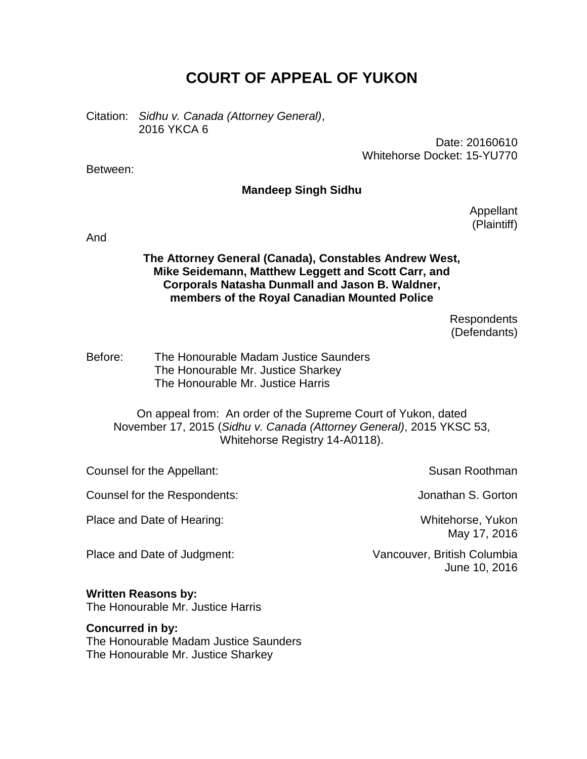# **COURT OF APPEAL OF YUKON**

Citation: *Sidhu v. Canada (Attorney General)*, 2016 YKCA 6

> Date: 20160610 Whitehorse Docket: 15-YU770

Between:

## **Mandeep Singh Sidhu**

Appellant (Plaintiff)

And

## **The Attorney General (Canada), Constables Andrew West, Mike Seidemann, Matthew Leggett and Scott Carr, and Corporals Natasha Dunmall and Jason B. Waldner, members of the Royal Canadian Mounted Police**

Respondents (Defendants)

Before: The Honourable Madam Justice Saunders The Honourable Mr. Justice Sharkey The Honourable Mr. Justice Harris

On appeal from: An order of the Supreme Court of Yukon, dated November 17, 2015 (*Sidhu v. Canada (Attorney General)*, 2015 YKSC 53, Whitehorse Registry 14-A0118).

Counsel for the Appellant: Susan Roothman

Counsel for the Respondents: Jonathan S. Gorton

Place and Date of Hearing: Whitehorse, Yukon

May 17, 2016

Place and Date of Judgment: Vancouver, British Columbia June 10, 2016

## **Written Reasons by:**

The Honourable Mr. Justice Harris

#### **Concurred in by:**

The Honourable Madam Justice Saunders The Honourable Mr. Justice Sharkey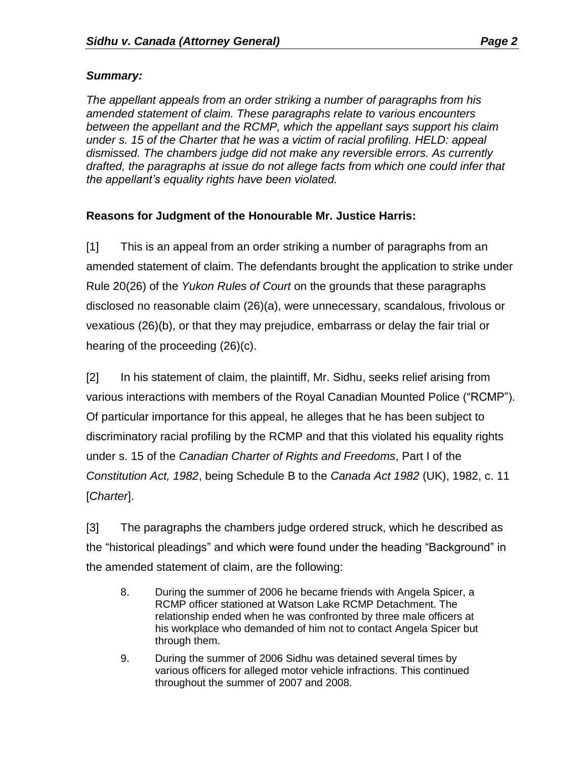## *Summary:*

*The appellant appeals from an order striking a number of paragraphs from his amended statement of claim. These paragraphs relate to various encounters between the appellant and the RCMP, which the appellant says support his claim under s. 15 of the Charter that he was a victim of racial profiling. HELD: appeal dismissed. The chambers judge did not make any reversible errors. As currently drafted, the paragraphs at issue do not allege facts from which one could infer that the appellant's equality rights have been violated.*

# **Reasons for Judgment of the Honourable Mr. Justice Harris:**

[1] This is an appeal from an order striking a number of paragraphs from an amended statement of claim. The defendants brought the application to strike under Rule 20(26) of the *Yukon Rules of Court* on the grounds that these paragraphs disclosed no reasonable claim (26)(a), were unnecessary, scandalous, frivolous or vexatious (26)(b), or that they may prejudice, embarrass or delay the fair trial or hearing of the proceeding (26)(c).

[2] In his statement of claim, the plaintiff, Mr. Sidhu, seeks relief arising from various interactions with members of the Royal Canadian Mounted Police ("RCMP"). Of particular importance for this appeal, he alleges that he has been subject to discriminatory racial profiling by the RCMP and that this violated his equality rights under s. 15 of the *Canadian Charter of Rights and Freedoms*, Part I of the *Constitution Act, 1982*, being Schedule B to the *Canada Act 1982* (UK), 1982, c. 11 [*Charter*].

[3] The paragraphs the chambers judge ordered struck, which he described as the "historical pleadings" and which were found under the heading "Background" in the amended statement of claim, are the following:

- 8. During the summer of 2006 he became friends with Angela Spicer, a RCMP officer stationed at Watson Lake RCMP Detachment. The relationship ended when he was confronted by three male officers at his workplace who demanded of him not to contact Angela Spicer but through them.
- 9. During the summer of 2006 Sidhu was detained several times by various officers for alleged motor vehicle infractions. This continued throughout the summer of 2007 and 2008.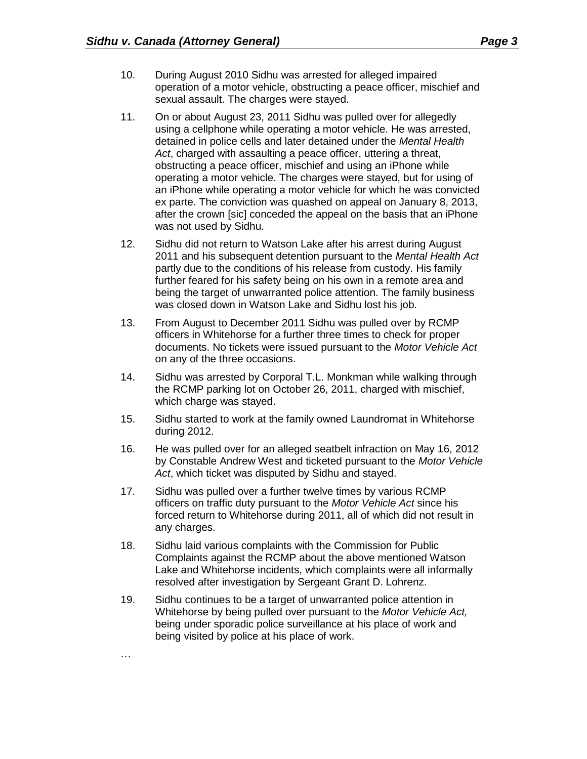- 10. During August 2010 Sidhu was arrested for alleged impaired operation of a motor vehicle, obstructing a peace officer, mischief and sexual assault. The charges were stayed.
- 11. On or about August 23, 2011 Sidhu was pulled over for allegedly using a cellphone while operating a motor vehicle. He was arrested, detained in police cells and later detained under the *Mental Health Act*, charged with assaulting a peace officer, uttering a threat, obstructing a peace officer, mischief and using an iPhone while operating a motor vehicle. The charges were stayed, but for using of an iPhone while operating a motor vehicle for which he was convicted ex parte. The conviction was quashed on appeal on January 8, 2013, after the crown [sic] conceded the appeal on the basis that an iPhone was not used by Sidhu.
- 12. Sidhu did not return to Watson Lake after his arrest during August 2011 and his subsequent detention pursuant to the *Mental Health Act* partly due to the conditions of his release from custody. His family further feared for his safety being on his own in a remote area and being the target of unwarranted police attention. The family business was closed down in Watson Lake and Sidhu lost his job.
- 13. From August to December 2011 Sidhu was pulled over by RCMP officers in Whitehorse for a further three times to check for proper documents. No tickets were issued pursuant to the *Motor Vehicle Act* on any of the three occasions.
- 14. Sidhu was arrested by Corporal T.L. Monkman while walking through the RCMP parking lot on October 26, 2011, charged with mischief, which charge was stayed.
- 15. Sidhu started to work at the family owned Laundromat in Whitehorse during 2012.
- 16. He was pulled over for an alleged seatbelt infraction on May 16, 2012 by Constable Andrew West and ticketed pursuant to the *Motor Vehicle Act*, which ticket was disputed by Sidhu and stayed.
- 17. Sidhu was pulled over a further twelve times by various RCMP officers on traffic duty pursuant to the *Motor Vehicle Act* since his forced return to Whitehorse during 2011, all of which did not result in any charges.
- 18. Sidhu laid various complaints with the Commission for Public Complaints against the RCMP about the above mentioned Watson Lake and Whitehorse incidents, which complaints were all informally resolved after investigation by Sergeant Grant D. Lohrenz.
- 19. Sidhu continues to be a target of unwarranted police attention in Whitehorse by being pulled over pursuant to the *Motor Vehicle Act,* being under sporadic police surveillance at his place of work and being visited by police at his place of work.

…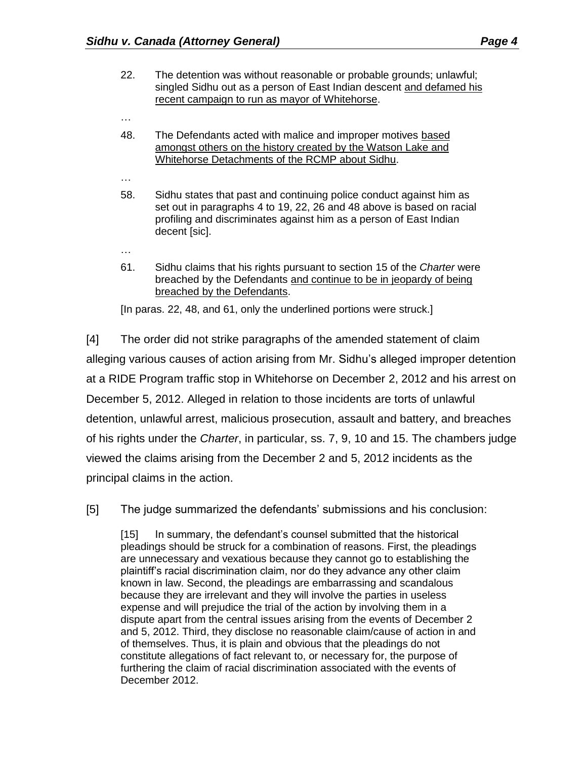- 22. The detention was without reasonable or probable grounds; unlawful; singled Sidhu out as a person of East Indian descent and defamed his recent campaign to run as mayor of Whitehorse.
- 48. The Defendants acted with malice and improper motives based amongst others on the history created by the Watson Lake and Whitehorse Detachments of the RCMP about Sidhu.
- …

…

…

- 58. Sidhu states that past and continuing police conduct against him as set out in paragraphs 4 to 19, 22, 26 and 48 above is based on racial profiling and discriminates against him as a person of East Indian decent [sic].
- 61. Sidhu claims that his rights pursuant to section 15 of the *Charter* were breached by the Defendants and continue to be in jeopardy of being breached by the Defendants.

[In paras. 22, 48, and 61, only the underlined portions were struck.]

[4] The order did not strike paragraphs of the amended statement of claim alleging various causes of action arising from Mr. Sidhu's alleged improper detention at a RIDE Program traffic stop in Whitehorse on December 2, 2012 and his arrest on December 5, 2012. Alleged in relation to those incidents are torts of unlawful detention, unlawful arrest, malicious prosecution, assault and battery, and breaches of his rights under the *Charter*, in particular, ss. 7, 9, 10 and 15. The chambers judge viewed the claims arising from the December 2 and 5, 2012 incidents as the principal claims in the action.

[5] The judge summarized the defendants' submissions and his conclusion:

[15] In summary, the defendant's counsel submitted that the historical pleadings should be struck for a combination of reasons. First, the pleadings are unnecessary and vexatious because they cannot go to establishing the plaintiff's racial discrimination claim, nor do they advance any other claim known in law. Second, the pleadings are embarrassing and scandalous because they are irrelevant and they will involve the parties in useless expense and will prejudice the trial of the action by involving them in a dispute apart from the central issues arising from the events of December 2 and 5, 2012. Third, they disclose no reasonable claim/cause of action in and of themselves. Thus, it is plain and obvious that the pleadings do not constitute allegations of fact relevant to, or necessary for, the purpose of furthering the claim of racial discrimination associated with the events of December 2012.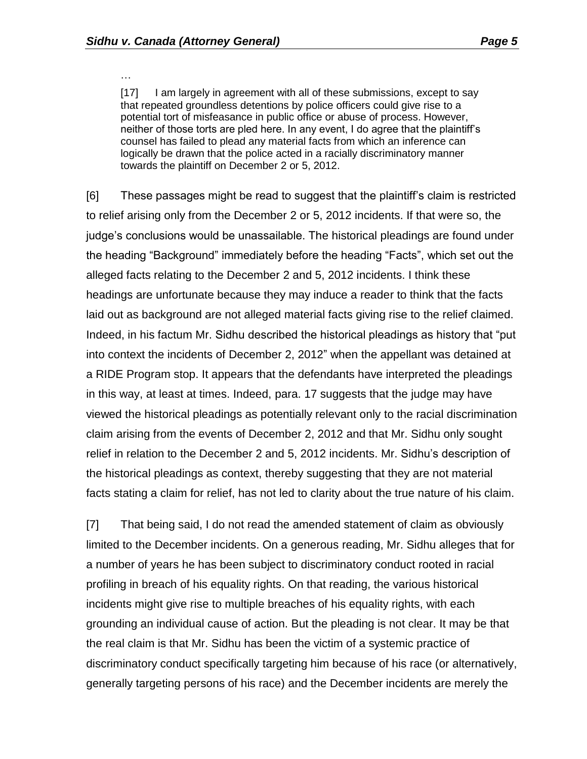…

[17] I am largely in agreement with all of these submissions, except to say that repeated groundless detentions by police officers could give rise to a potential tort of misfeasance in public office or abuse of process. However, neither of those torts are pled here. In any event, I do agree that the plaintiff's counsel has failed to plead any material facts from which an inference can logically be drawn that the police acted in a racially discriminatory manner towards the plaintiff on December 2 or 5, 2012.

[6] These passages might be read to suggest that the plaintiff's claim is restricted to relief arising only from the December 2 or 5, 2012 incidents. If that were so, the judge's conclusions would be unassailable. The historical pleadings are found under the heading "Background" immediately before the heading "Facts", which set out the alleged facts relating to the December 2 and 5, 2012 incidents. I think these headings are unfortunate because they may induce a reader to think that the facts laid out as background are not alleged material facts giving rise to the relief claimed. Indeed, in his factum Mr. Sidhu described the historical pleadings as history that "put into context the incidents of December 2, 2012" when the appellant was detained at a RIDE Program stop. It appears that the defendants have interpreted the pleadings in this way, at least at times. Indeed, para. 17 suggests that the judge may have viewed the historical pleadings as potentially relevant only to the racial discrimination claim arising from the events of December 2, 2012 and that Mr. Sidhu only sought relief in relation to the December 2 and 5, 2012 incidents. Mr. Sidhu's description of the historical pleadings as context, thereby suggesting that they are not material facts stating a claim for relief, has not led to clarity about the true nature of his claim.

[7] That being said, I do not read the amended statement of claim as obviously limited to the December incidents. On a generous reading, Mr. Sidhu alleges that for a number of years he has been subject to discriminatory conduct rooted in racial profiling in breach of his equality rights. On that reading, the various historical incidents might give rise to multiple breaches of his equality rights, with each grounding an individual cause of action. But the pleading is not clear. It may be that the real claim is that Mr. Sidhu has been the victim of a systemic practice of discriminatory conduct specifically targeting him because of his race (or alternatively, generally targeting persons of his race) and the December incidents are merely the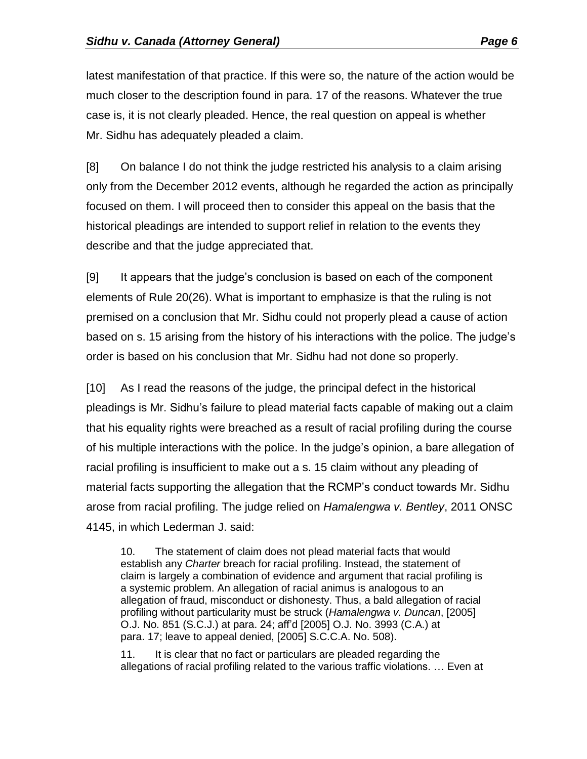latest manifestation of that practice. If this were so, the nature of the action would be much closer to the description found in para. 17 of the reasons. Whatever the true case is, it is not clearly pleaded. Hence, the real question on appeal is whether Mr. Sidhu has adequately pleaded a claim.

[8] On balance I do not think the judge restricted his analysis to a claim arising only from the December 2012 events, although he regarded the action as principally focused on them. I will proceed then to consider this appeal on the basis that the historical pleadings are intended to support relief in relation to the events they describe and that the judge appreciated that.

[9] It appears that the judge's conclusion is based on each of the component elements of Rule 20(26). What is important to emphasize is that the ruling is not premised on a conclusion that Mr. Sidhu could not properly plead a cause of action based on s. 15 arising from the history of his interactions with the police. The judge's order is based on his conclusion that Mr. Sidhu had not done so properly.

[10] As I read the reasons of the judge, the principal defect in the historical pleadings is Mr. Sidhu's failure to plead material facts capable of making out a claim that his equality rights were breached as a result of racial profiling during the course of his multiple interactions with the police. In the judge's opinion, a bare allegation of racial profiling is insufficient to make out a s. 15 claim without any pleading of material facts supporting the allegation that the RCMP's conduct towards Mr. Sidhu arose from racial profiling. The judge relied on *Hamalengwa v. Bentley*, 2011 ONSC 4145, in which Lederman J. said:

10. The statement of claim does not plead material facts that would establish any *Charter* breach for racial profiling. Instead, the statement of claim is largely a combination of evidence and argument that racial profiling is a systemic problem. An allegation of racial animus is analogous to an allegation of fraud, misconduct or dishonesty. Thus, a bald allegation of racial profiling without particularity must be struck (*Hamalengwa v. Duncan*, [2005] O.J. No. 851 (S.C.J.) at para. 24; aff'd [2005] O.J. No. 3993 (C.A.) at para. 17; leave to appeal denied, [2005] S.C.C.A. No. 508).

11. It is clear that no fact or particulars are pleaded regarding the allegations of racial profiling related to the various traffic violations. … Even at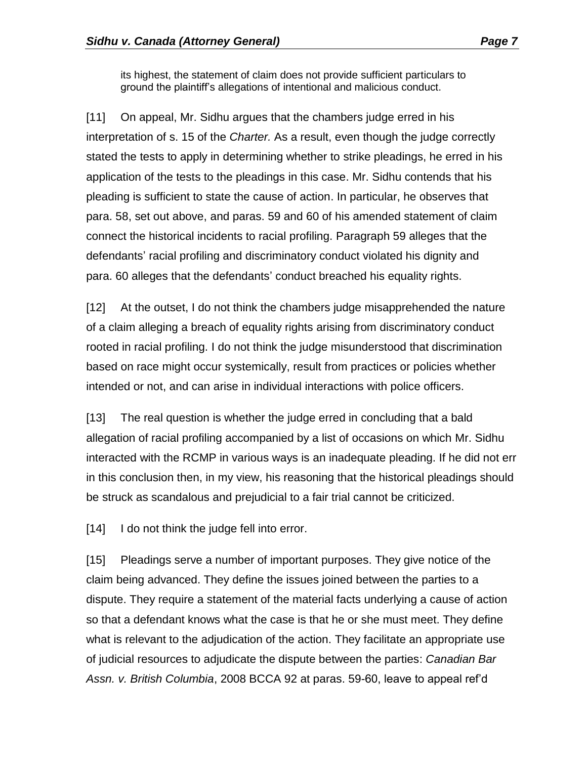its highest, the statement of claim does not provide sufficient particulars to ground the plaintiff's allegations of intentional and malicious conduct.

[11] On appeal, Mr. Sidhu argues that the chambers judge erred in his interpretation of s. 15 of the *Charter.* As a result, even though the judge correctly stated the tests to apply in determining whether to strike pleadings, he erred in his application of the tests to the pleadings in this case. Mr. Sidhu contends that his pleading is sufficient to state the cause of action. In particular, he observes that para. 58, set out above, and paras. 59 and 60 of his amended statement of claim connect the historical incidents to racial profiling. Paragraph 59 alleges that the defendants' racial profiling and discriminatory conduct violated his dignity and para. 60 alleges that the defendants' conduct breached his equality rights.

[12] At the outset, I do not think the chambers judge misapprehended the nature of a claim alleging a breach of equality rights arising from discriminatory conduct rooted in racial profiling. I do not think the judge misunderstood that discrimination based on race might occur systemically, result from practices or policies whether intended or not, and can arise in individual interactions with police officers.

[13] The real question is whether the judge erred in concluding that a bald allegation of racial profiling accompanied by a list of occasions on which Mr. Sidhu interacted with the RCMP in various ways is an inadequate pleading. If he did not err in this conclusion then, in my view, his reasoning that the historical pleadings should be struck as scandalous and prejudicial to a fair trial cannot be criticized.

[14] I do not think the judge fell into error.

[15] Pleadings serve a number of important purposes. They give notice of the claim being advanced. They define the issues joined between the parties to a dispute. They require a statement of the material facts underlying a cause of action so that a defendant knows what the case is that he or she must meet. They define what is relevant to the adjudication of the action. They facilitate an appropriate use of judicial resources to adjudicate the dispute between the parties: *Canadian Bar Assn. v. British Columbia*, 2008 BCCA 92 at paras. 59-60, leave to appeal ref'd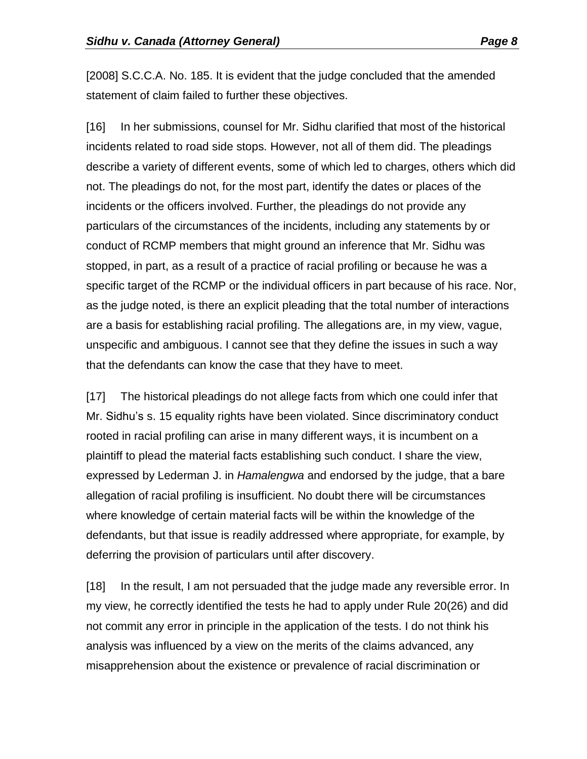[2008] S.C.C.A. No. 185. It is evident that the judge concluded that the amended statement of claim failed to further these objectives.

[16] In her submissions, counsel for Mr. Sidhu clarified that most of the historical incidents related to road side stops. However, not all of them did. The pleadings describe a variety of different events, some of which led to charges, others which did not. The pleadings do not, for the most part, identify the dates or places of the incidents or the officers involved. Further, the pleadings do not provide any particulars of the circumstances of the incidents, including any statements by or conduct of RCMP members that might ground an inference that Mr. Sidhu was stopped, in part, as a result of a practice of racial profiling or because he was a specific target of the RCMP or the individual officers in part because of his race. Nor, as the judge noted, is there an explicit pleading that the total number of interactions are a basis for establishing racial profiling. The allegations are, in my view, vague, unspecific and ambiguous. I cannot see that they define the issues in such a way that the defendants can know the case that they have to meet.

[17] The historical pleadings do not allege facts from which one could infer that Mr. Sidhu's s. 15 equality rights have been violated. Since discriminatory conduct rooted in racial profiling can arise in many different ways, it is incumbent on a plaintiff to plead the material facts establishing such conduct. I share the view, expressed by Lederman J. in *Hamalengwa* and endorsed by the judge, that a bare allegation of racial profiling is insufficient. No doubt there will be circumstances where knowledge of certain material facts will be within the knowledge of the defendants, but that issue is readily addressed where appropriate, for example, by deferring the provision of particulars until after discovery.

[18] In the result, I am not persuaded that the judge made any reversible error. In my view, he correctly identified the tests he had to apply under Rule 20(26) and did not commit any error in principle in the application of the tests. I do not think his analysis was influenced by a view on the merits of the claims advanced, any misapprehension about the existence or prevalence of racial discrimination or